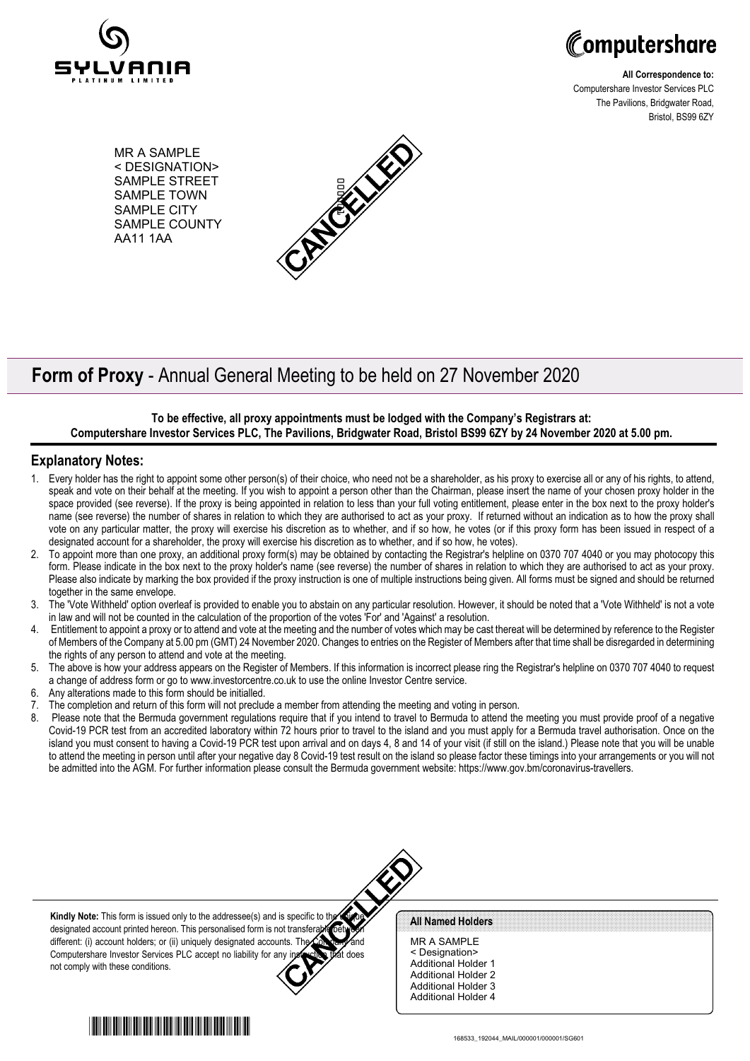



**All Correspondence to:** Computershare Investor Services PLC The Pavilions, Bridgwater Road, Bristol, BS99 6ZY

MR A SAMPLE < DESIGNATION> SAMPLE STREET SAMPLE TOWN SAMPLE CITY SAMPLE COUNTY AA11 1AA



# **Form of Proxy** - Annual General Meeting to be held on 27 November 2020

#### **To be effective, all proxy appointments must be lodged with the Company's Registrars at: Computershare Investor Services PLC, The Pavilions, Bridgwater Road, Bristol BS99 6ZY by 24 November 2020 at 5.00 pm.**

### **Explanatory Notes:**

- 1. Every holder has the right to appoint some other person(s) of their choice, who need not be a shareholder, as his proxy to exercise all or any of his rights, to attend, speak and vote on their behalf at the meeting. If you wish to appoint a person other than the Chairman, please insert the name of your chosen proxy holder in the space provided (see reverse). If the proxy is being appointed in relation to less than your full voting entitlement, please enter in the box next to the proxy holder's name (see reverse) the number of shares in relation to which they are authorised to act as your proxy. If returned without an indication as to how the proxy shall vote on any particular matter, the proxy will exercise his discretion as to whether, and if so how, he votes (or if this proxy form has been issued in respect of a designated account for a shareholder, the proxy will exercise his discretion as to whether, and if so how, he votes).
- 2. To appoint more than one proxy, an additional proxy form(s) may be obtained by contacting the Registrar's helpline on 0370 707 4040 or you may photocopy this form. Please indicate in the box next to the proxy holder's name (see reverse) the number of shares in relation to which they are authorised to act as your proxy. Please also indicate by marking the box provided if the proxy instruction is one of multiple instructions being given. All forms must be signed and should be returned together in the same envelope.
- 3. The 'Vote Withheld' option overleaf is provided to enable you to abstain on any particular resolution. However, it should be noted that a 'Vote Withheld' is not a vote in law and will not be counted in the calculation of the proportion of the votes 'For' and 'Against' a resolution.
- 4. Entitlement to appoint a proxy or to attend and vote at the meeting and the number of votes which may be cast thereat will be determined by reference to the Register of Members of the Company at 5.00 pm (GMT) 24 November 2020. Changes to entries on the Register of Members after that time shall be disregarded in determining the rights of any person to attend and vote at the meeting.
- 5. The above is how your address appears on the Register of Members. If this information is incorrect please ring the Registrar's helpline on 0370 707 4040 to request a change of address form or go to www.investorcentre.co.uk to use the online Investor Centre service.
- Any alterations made to this form should be initialled.
- 7. The completion and return of this form will not preclude a member from attending the meeting and voting in person.
- 8. Please note that the Bermuda government regulations require that if you intend to travel to Bermuda to attend the meeting you must provide proof of a negative Covid-19 PCR test from an accredited laboratory within 72 hours prior to travel to the island and you must apply for a Bermuda travel authorisation. Once on the island you must consent to having a Covid-19 PCR test upon arrival and on days 4, 8 and 14 of your visit (if still on the island.) Please note that you will be unable to attend the meeting in person until after your negative day 8 Covid-19 test result on the island so please factor these timings into your arrangements or you will not be admitted into the AGM. For further information please consult the Bermuda government website: https://www.gov.bm/coronavirus-travellers.





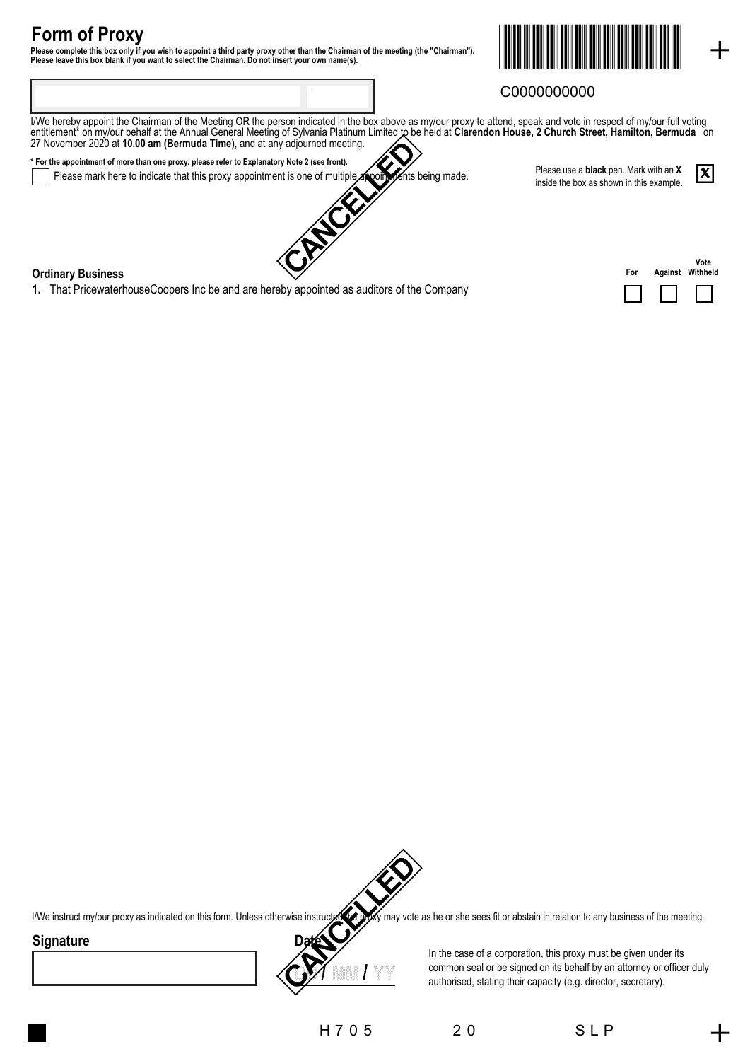# **Form of Proxy**

Please complete this box only if you wish to appoint a third party proxy other than the Chairman of the meeting (the "Chairman").<br>Please leave this box blank if you want to select the Chairman. Do not insert your own name(



## C0000000000

I/We hereby appoint the Chairman of the Meeting OR the person indicated in the box above as my/our proxy to attend, speak and vote in respect of my/our full voting entitlement\* on my/our behalf at the Annual General Meeting of Sylvania Platinum Limited to be held at **Clarendon House, 2 Church Street, Hamilton, Bermuda** on 27 November 2020 at **10.00 am (Bermuda Time)**, and at any adjourned meeting.

**\* For the appointment of more than one proxy, please refer to Explanatory Note 2 (see front).** Please mark here to indicate that this proxy appointment is one of multiple appointments being made. Please use a **black** pen. Mark with an **X** inside the box as shown in this example.

### **Ordinary Business**

**1.** That PricewaterhouseCoopers Inc be and are hereby appointed as auditors of the Company

| For | Vote<br><b>Against Withheld</b> |
|-----|---------------------------------|
|     |                                 |

 $\bm{x}$ 



I/We instruct my/our proxy as indicated on this form. Unless otherwise instructed the proxy may vote as he or she sees fit or abstain in relation to any business of the meeting.

### **Signature**



In the case of a corporation, this proxy must be given under its common seal or be signed on its behalf by an attorney or officer duly authorised, stating their capacity (e.g. director, secretary).

H 7 0 5 2 0 5 L P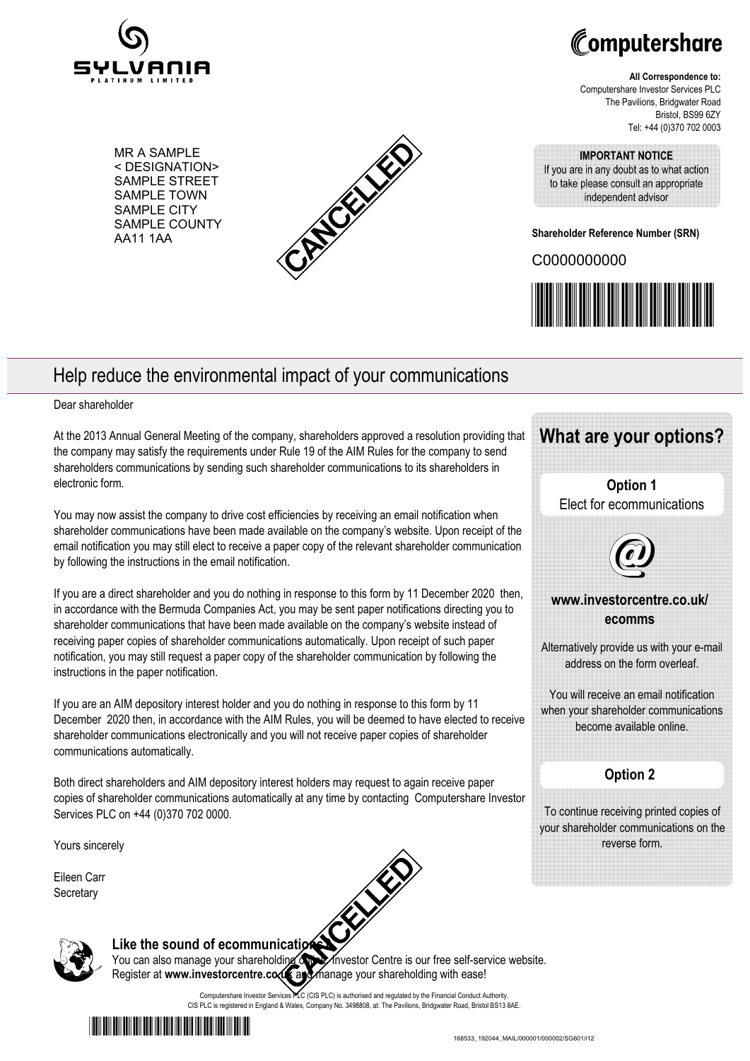

Computershare

**All Correspondence to:** Computershare Investor Services PLC The Pavilions, Bridgwater Road Bristol, BS99 6ZY Tel: +44 (0)370 702 0003

MR A SAMPLE < DESIGNATION> SAMPLE STREET SAMPLE TOWN SAMPLE CITY SAMPLE COUNTY AA11 1AA



#### **IMPORTANT NOTICE**

If you are in any doubt as to what action to take please consult an appropriate independent advisor

**Shareholder Reference Number (SRN)**

C0000000000



## Help reduce the environmental impact of your communications

#### Dear shareholder

At the 2013 Annual General Meeting of the company, shareholders approved a resolution providing that the company may satisfy the requirements under Rule 19 of the AIM Rules for the company to send shareholders communications by sending such shareholder communications to its shareholders in electronic form.

You may now assist the company to drive cost efficiencies by receiving an email notification when shareholder communications have been made available on the company's website. Upon receipt of the email notification you may still elect to receive a paper copy of the relevant shareholder communication by following the instructions in the email notification.

If you are a direct shareholder and you do nothing in response to this form by 11 December 2020 then, in accordance with the Bermuda Companies Act, you may be sent paper notifications directing you to shareholder communications that have been made available on the company's website instead of receiving paper copies of shareholder communications automatically. Upon receipt of such paper notification, you may still request a paper copy of the shareholder communication by following the instructions in the paper notification.

If you are an AIM depository interest holder and you do nothing in response to this form by 11 December 2020 then, in accordance with the AIM Rules, you will be deemed to have elected to receive shareholder communications electronically and you will not receive paper copies of shareholder communications automatically.

Both direct shareholders and AIM depository interest holders may request to again receive paper copies of shareholder communications automatically at any time by contacting Computershare Investor Services PLC on +44 (0)370 702 0000.

Yours sincerely

Eileen Carr **Secretary** 



# Like the sound of ecommunications?

You can also manage your shareholding on the Investor Centre is our free self-service website.

Computershare Investor Services PLC (CIS PLC) is authorised and regulated by the Financial Conduct Authority. CIS PLC is registered in England & Wales, Company No. 3498808, at: The Pavilions, Bridgwater Road, Bristol BS13 8AE.



Register at www.investorcentre.com and manage your shareholding with ease!

\*00000102020130\* 168533\_192044\_MAIL/000001/000002/SG601/i12

## **What are your options?**

**Option 1** Elect for ecommunications



## **www.investorcentre.co.uk/ ecomms**

Alternatively provide us with your e-mail address on the form overleaf.

You will receive an email notification when your shareholder communications become available online.

## **Option 2**

To continue receiving printed copies of your shareholder communications on the reverse form.